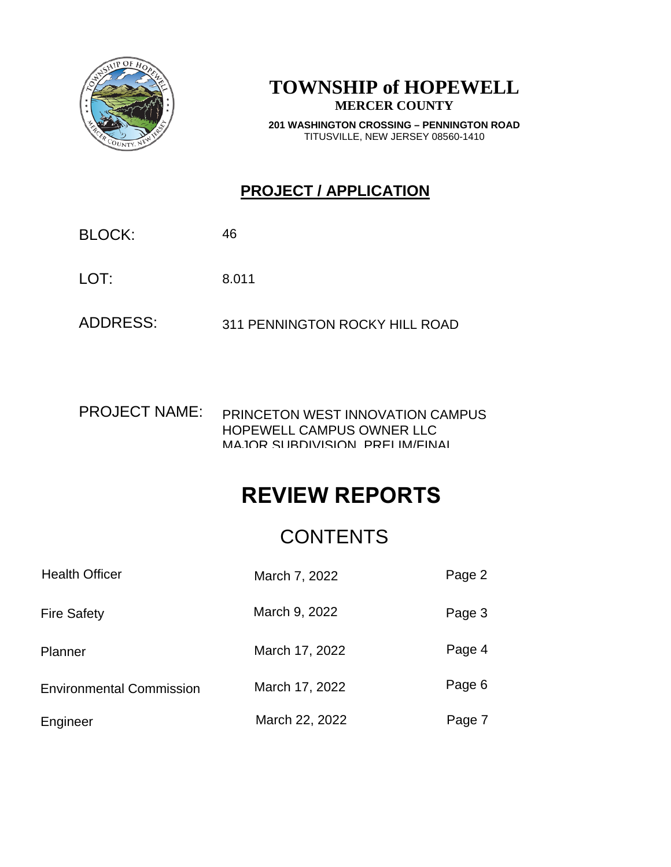

### **TOWNSHIP of HOPEWELL MERCER COUNTY**

**201 WASHINGTON CROSSING – PENNINGTON ROAD** TITUSVILLE, NEW JERSEY 08560-1410

### **PROJECT / APPLICATION**

BLOCK:

LOT: 46<br>8.011

ADDRESS: 311 PENNINGTON ROCKY HILL ROAD

PROJECT NAME: PRINCETON WEST INNOVATION CAMPUS HOPEWELL CAMPUS OWNER LLC MAJOR SUBDIVISION, PRELIM/FINAL

# **REVIEW REPORTS**

|                                 | <b>CONTENTS</b> |        |
|---------------------------------|-----------------|--------|
| <b>Health Officer</b>           | March 7, 2022   | Page 2 |
| <b>Fire Safety</b>              | March 9, 2022   | Page 3 |
| Planner                         | March 17, 2022  | Page 4 |
| <b>Environmental Commission</b> | March 17, 2022  | Page 6 |
| Engineer                        | March 22, 2022  | Page 7 |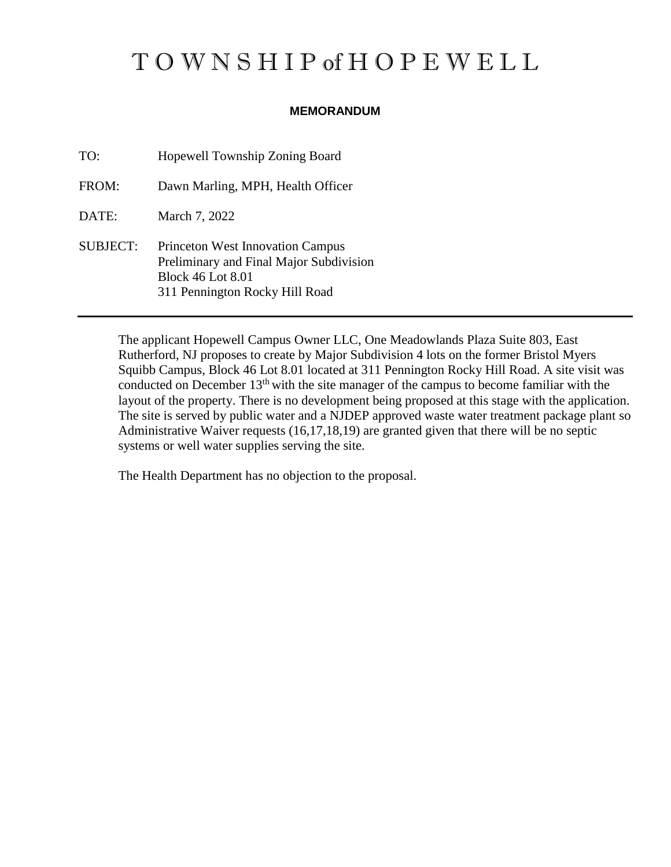# T O W N S H I P of H O P E W E L L

#### **MEMORANDUM**

TO: Hopewell Township Zoning Board FROM: Dawn Marling, MPH, Health Officer DATE: March 7, 2022 SUBJECT: Princeton West Innovation Campus Preliminary and Final Major Subdivision Block 46 Lot 8.01 311 Pennington Rocky Hill Road

> The applicant Hopewell Campus Owner LLC, One Meadowlands Plaza Suite 803, East Rutherford, NJ proposes to create by Major Subdivision 4 lots on the former Bristol Myers Squibb Campus, Block 46 Lot 8.01 located at 311 Pennington Rocky Hill Road. A site visit was conducted on December 13<sup>th</sup> with the site manager of the campus to become familiar with the layout of the property. There is no development being proposed at this stage with the application. The site is served by public water and a NJDEP approved waste water treatment package plant so Administrative Waiver requests (16,17,18,19) are granted given that there will be no septic systems or well water supplies serving the site.

The Health Department has no objection to the proposal.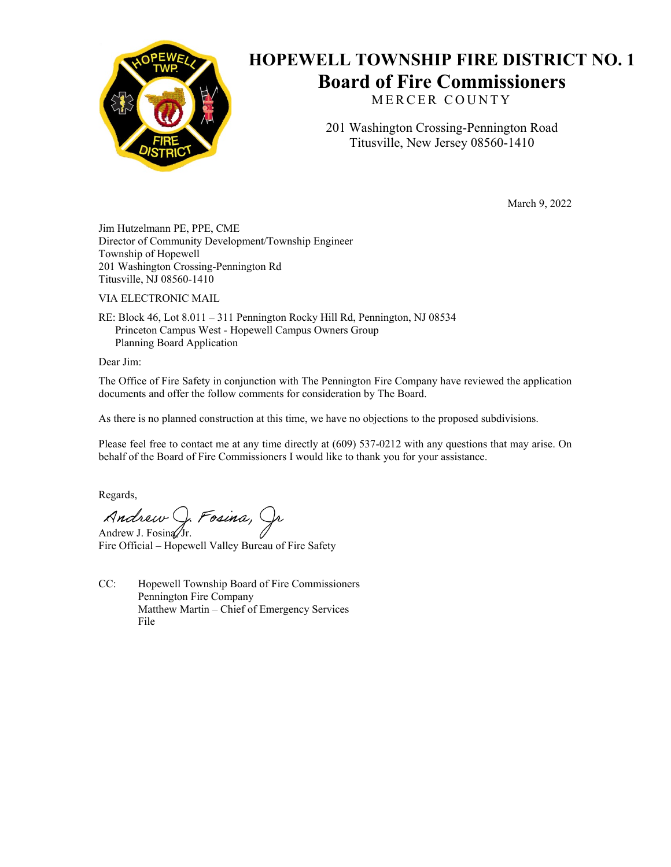

## **HOPEWELL TOWNSHIP FIRE DISTRICT NO. 1 Board of Fire Commissioners**

MERCER COUNTY

201 Washington Crossing-Pennington Road Titusville, New Jersey 08560-1410

March 9, 2022

Jim Hutzelmann PE, PPE, CME Director of Community Development/Township Engineer Township of Hopewell 201 Washington Crossing-Pennington Rd Titusville, NJ 08560-1410

VIA ELECTRONIC MAIL

RE: Block 46, Lot 8.011 – 311 Pennington Rocky Hill Rd, Pennington, NJ 08534 Princeton Campus West - Hopewell Campus Owners Group Planning Board Application

Dear Jim:

The Office of Fire Safety in conjunction with The Pennington Fire Company have reviewed the application documents and offer the follow comments for consideration by The Board.

As there is no planned construction at this time, we have no objections to the proposed subdivisions.

Please feel free to contact me at any time directly at (609) 537-0212 with any questions that may arise. On behalf of the Board of Fire Commissioners I would like to thank you for your assistance.

Regards,

Andrew J. Fosina, Jr.

Fire Official – Hopewell Valley Bureau of Fire Safety

CC: Hopewell Township Board of Fire Commissioners Pennington Fire Company Matthew Martin – Chief of Emergency Services File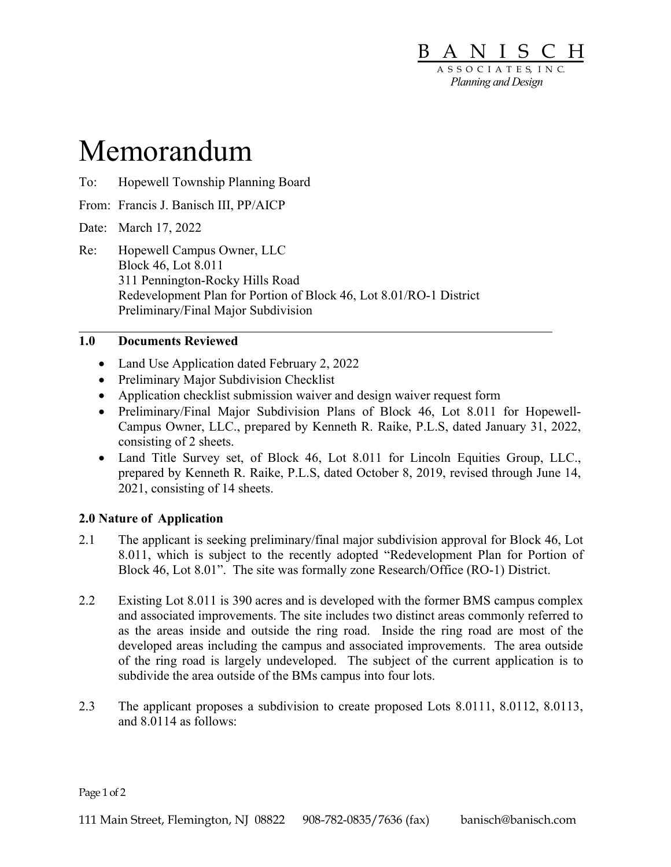

# Memorandum

- To: Hopewell Township Planning Board
- From: Francis J. Banisch III, PP/AICP

Date: March 17, 2022

 $\overline{a}$ 

Re: Hopewell Campus Owner, LLC Block 46, Lot 8.011 311 Pennington-Rocky Hills Road Redevelopment Plan for Portion of Block 46, Lot 8.01/RO-1 District Preliminary/Final Major Subdivision

#### 1.0 Documents Reviewed

- Land Use Application dated February 2, 2022
- Preliminary Major Subdivision Checklist
- Application checklist submission waiver and design waiver request form
- Preliminary/Final Major Subdivision Plans of Block 46, Lot 8.011 for Hopewell-Campus Owner, LLC., prepared by Kenneth R. Raike, P.L.S, dated January 31, 2022, consisting of 2 sheets.
- Land Title Survey set, of Block 46, Lot 8.011 for Lincoln Equities Group, LLC., prepared by Kenneth R. Raike, P.L.S, dated October 8, 2019, revised through June 14, 2021, consisting of 14 sheets.

#### 2.0 Nature of Application

- 2.1 The applicant is seeking preliminary/final major subdivision approval for Block 46, Lot 8.011, which is subject to the recently adopted "Redevelopment Plan for Portion of Block 46, Lot 8.01". The site was formally zone Research/Office (RO-1) District.
- 2.2 Existing Lot 8.011 is 390 acres and is developed with the former BMS campus complex and associated improvements. The site includes two distinct areas commonly referred to as the areas inside and outside the ring road. Inside the ring road are most of the developed areas including the campus and associated improvements. The area outside of the ring road is largely undeveloped. The subject of the current application is to subdivide the area outside of the BMs campus into four lots.
- 2.3 The applicant proposes a subdivision to create proposed Lots 8.0111, 8.0112, 8.0113, and 8.0114 as follows:

Page 1 of 2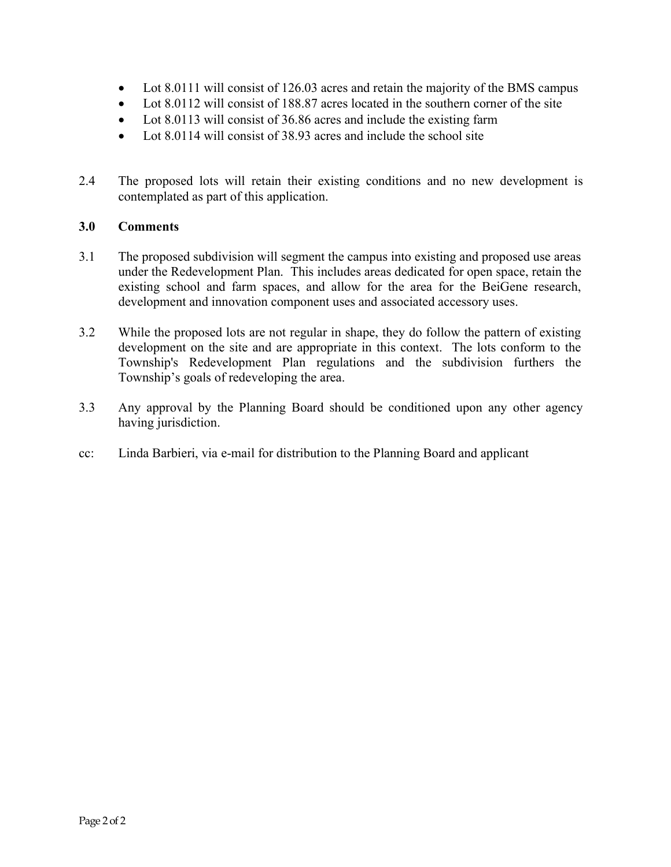- Lot 8.0111 will consist of 126.03 acres and retain the majority of the BMS campus
- Lot 8.0112 will consist of 188.87 acres located in the southern corner of the site
- Lot 8.0113 will consist of 36.86 acres and include the existing farm
- Lot 8.0114 will consist of 38.93 acres and include the school site
- 2.4 The proposed lots will retain their existing conditions and no new development is contemplated as part of this application.

#### 3.0 Comments

- 3.1 The proposed subdivision will segment the campus into existing and proposed use areas under the Redevelopment Plan. This includes areas dedicated for open space, retain the existing school and farm spaces, and allow for the area for the BeiGene research, development and innovation component uses and associated accessory uses.
- 3.2 While the proposed lots are not regular in shape, they do follow the pattern of existing development on the site and are appropriate in this context. The lots conform to the Township's Redevelopment Plan regulations and the subdivision furthers the Township's goals of redeveloping the area.
- 3.3 Any approval by the Planning Board should be conditioned upon any other agency having jurisdiction.
- cc: Linda Barbieri, via e-mail for distribution to the Planning Board and applicant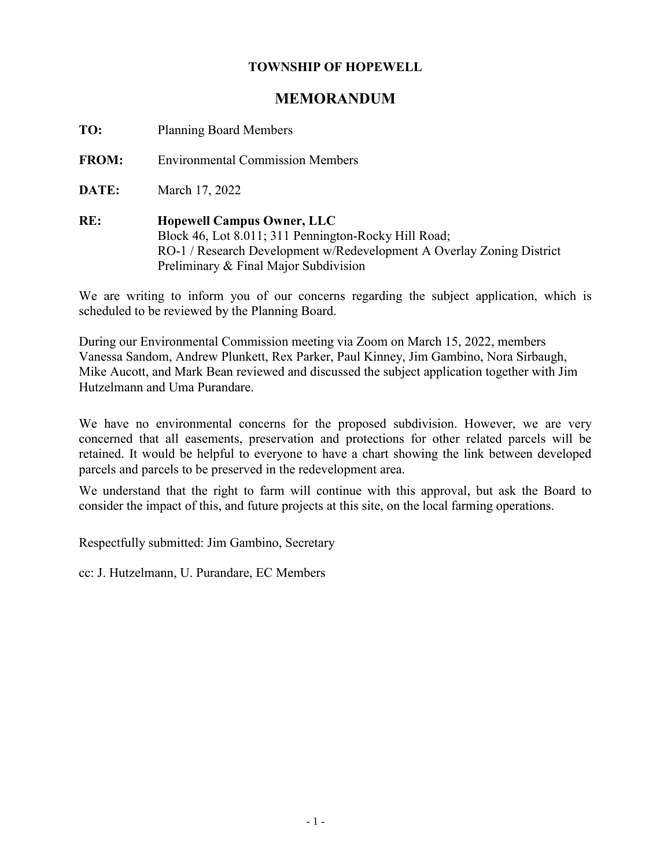#### **TOWNSHIP OF HOPEWELL**

### **MEMORANDUM**

**TO:** Planning Board Members

**FROM:** Environmental Commission Members

**DATE:** March 17, 2022

**RE: Hopewell Campus Owner, LLC** Block 46, Lot 8.011; 311 Pennington-Rocky Hill Road; RO-1 / Research Development w/Redevelopment A Overlay Zoning District Preliminary & Final Major Subdivision

We are writing to inform you of our concerns regarding the subject application, which is scheduled to be reviewed by the Planning Board.

During our Environmental Commission meeting via Zoom on March 15, 2022, members Vanessa Sandom, Andrew Plunkett, Rex Parker, Paul Kinney, Jim Gambino, Nora Sirbaugh, Mike Aucott, and Mark Bean reviewed and discussed the subject application together with Jim Hutzelmann and Uma Purandare.

We have no environmental concerns for the proposed subdivision. However, we are very concerned that all easements, preservation and protections for other related parcels will be retained. It would be helpful to everyone to have a chart showing the link between developed parcels and parcels to be preserved in the redevelopment area.

We understand that the right to farm will continue with this approval, but ask the Board to consider the impact of this, and future projects at this site, on the local farming operations.

Respectfully submitted: Jim Gambino, Secretary

cc: J. Hutzelmann, U. Purandare, EC Members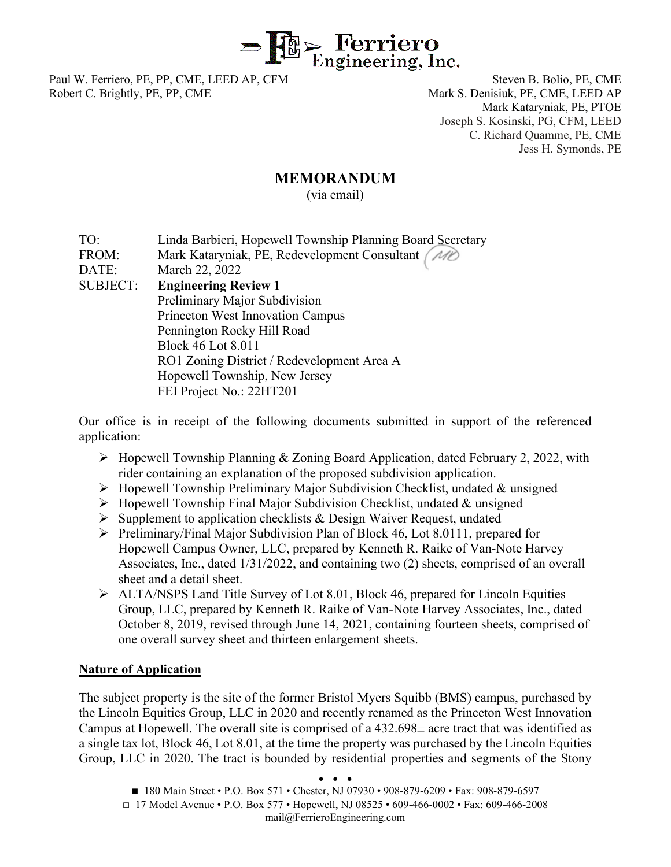

Paul W. Ferriero, PE, PP, CME, LEED AP, CFM Steven B. Bolio, PE, CME Robert C. Brightly, PE, PP, CME Mark S. Denisiuk, PE, CME, LEED AP

Mark Kataryniak, PE, PTOE Joseph S. Kosinski, PG, CFM, LEED C. Richard Quamme, PE, CME Jess H. Symonds, PE

#### **MEMORANDUM**

(via email)

- TO: Linda Barbieri, Hopewell Township Planning Board Secretary
- FROM: Mark Kataryniak, PE, Redevelopment Consultant (MO

DATE: March 22, 2022

SUBJECT: **Engineering Review 1** Preliminary Major Subdivision Princeton West Innovation Campus Pennington Rocky Hill Road Block 46 Lot 8.011 RO1 Zoning District / Redevelopment Area A Hopewell Township, New Jersey FEI Project No.: 22HT201

Our office is in receipt of the following documents submitted in support of the referenced application:

- $\triangleright$  Hopewell Township Planning & Zoning Board Application, dated February 2, 2022, with rider containing an explanation of the proposed subdivision application.
- $\triangleright$  Hopewell Township Preliminary Major Subdivision Checklist, undated & unsigned
- $\triangleright$  Hopewell Township Final Major Subdivision Checklist, undated & unsigned
- $\triangleright$  Supplement to application checklists & Design Waiver Request, undated
- $\triangleright$  Preliminary/Final Major Subdivision Plan of Block 46, Lot 8.0111, prepared for Hopewell Campus Owner, LLC, prepared by Kenneth R. Raike of Van-Note Harvey Associates, Inc., dated 1/31/2022, and containing two (2) sheets, comprised of an overall sheet and a detail sheet.
- $\triangleright$  ALTA/NSPS Land Title Survey of Lot 8.01, Block 46, prepared for Lincoln Equities Group, LLC, prepared by Kenneth R. Raike of Van-Note Harvey Associates, Inc., dated October 8, 2019, revised through June 14, 2021, containing fourteen sheets, comprised of one overall survey sheet and thirteen enlargement sheets.

#### **Nature of Application**

The subject property is the site of the former Bristol Myers Squibb (BMS) campus, purchased by the Lincoln Equities Group, LLC in 2020 and recently renamed as the Princeton West Innovation Campus at Hopewell. The overall site is comprised of a 432.698± acre tract that was identified as a single tax lot, Block 46, Lot 8.01, at the time the property was purchased by the Lincoln Equities Group, LLC in 2020. The tract is bounded by residential properties and segments of the Stony

● ● ●

- 180 Main Street P.O. Box 571 Chester, NJ 07930 908-879-6209 Fax: 908-879-6597
- $\Box$  17 Model Avenue P.O. Box 577 Hopewell, NJ 08525 609-466-0002 Fax: 609-466-2008 mail@FerrieroEngineering.com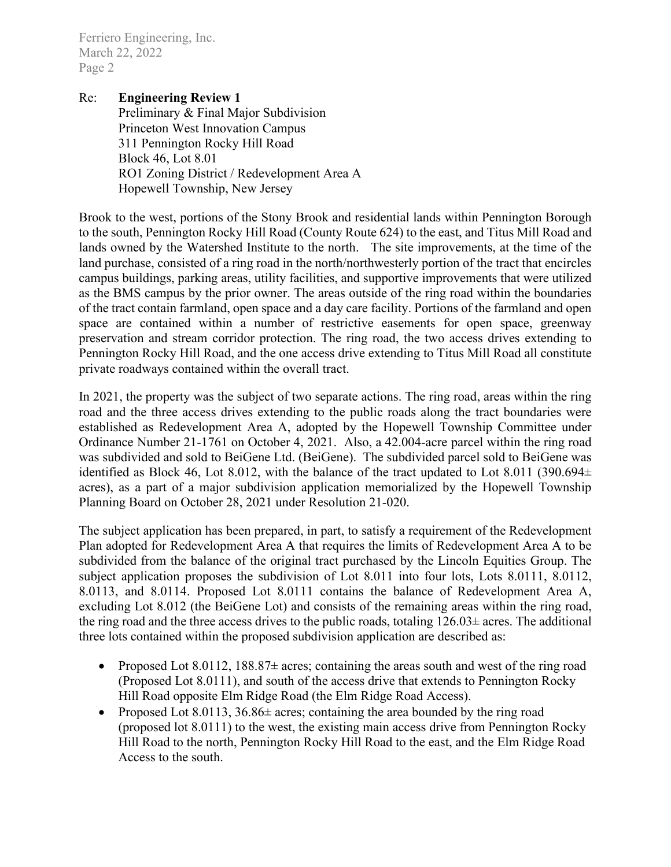Ferriero Engineering, Inc. March 22, 2022 Page 2

#### Re: **Engineering Review 1**

Preliminary & Final Major Subdivision Princeton West Innovation Campus 311 Pennington Rocky Hill Road Block 46, Lot 8.01 RO1 Zoning District / Redevelopment Area A Hopewell Township, New Jersey

Brook to the west, portions of the Stony Brook and residential lands within Pennington Borough to the south, Pennington Rocky Hill Road (County Route 624) to the east, and Titus Mill Road and lands owned by the Watershed Institute to the north. The site improvements, at the time of the land purchase, consisted of a ring road in the north/northwesterly portion of the tract that encircles campus buildings, parking areas, utility facilities, and supportive improvements that were utilized as the BMS campus by the prior owner. The areas outside of the ring road within the boundaries of the tract contain farmland, open space and a day care facility. Portions of the farmland and open space are contained within a number of restrictive easements for open space, greenway preservation and stream corridor protection. The ring road, the two access drives extending to Pennington Rocky Hill Road, and the one access drive extending to Titus Mill Road all constitute private roadways contained within the overall tract.

In 2021, the property was the subject of two separate actions. The ring road, areas within the ring road and the three access drives extending to the public roads along the tract boundaries were established as Redevelopment Area A, adopted by the Hopewell Township Committee under Ordinance Number 21-1761 on October 4, 2021. Also, a 42.004-acre parcel within the ring road was subdivided and sold to BeiGene Ltd. (BeiGene). The subdivided parcel sold to BeiGene was identified as Block 46, Lot 8.012, with the balance of the tract updated to Lot 8.011 (390.694± acres), as a part of a major subdivision application memorialized by the Hopewell Township Planning Board on October 28, 2021 under Resolution 21-020.

The subject application has been prepared, in part, to satisfy a requirement of the Redevelopment Plan adopted for Redevelopment Area A that requires the limits of Redevelopment Area A to be subdivided from the balance of the original tract purchased by the Lincoln Equities Group. The subject application proposes the subdivision of Lot 8.011 into four lots, Lots 8.0111, 8.0112, 8.0113, and 8.0114. Proposed Lot 8.0111 contains the balance of Redevelopment Area A, excluding Lot 8.012 (the BeiGene Lot) and consists of the remaining areas within the ring road, the ring road and the three access drives to the public roads, totaling  $126.03\pm$  acres. The additional three lots contained within the proposed subdivision application are described as:

- Proposed Lot 8.0112,  $188.87\pm$  acres; containing the areas south and west of the ring road (Proposed Lot 8.0111), and south of the access drive that extends to Pennington Rocky Hill Road opposite Elm Ridge Road (the Elm Ridge Road Access).
- Proposed Lot 8.0113,  $36.86\pm$  acres; containing the area bounded by the ring road (proposed lot 8.0111) to the west, the existing main access drive from Pennington Rocky Hill Road to the north, Pennington Rocky Hill Road to the east, and the Elm Ridge Road Access to the south.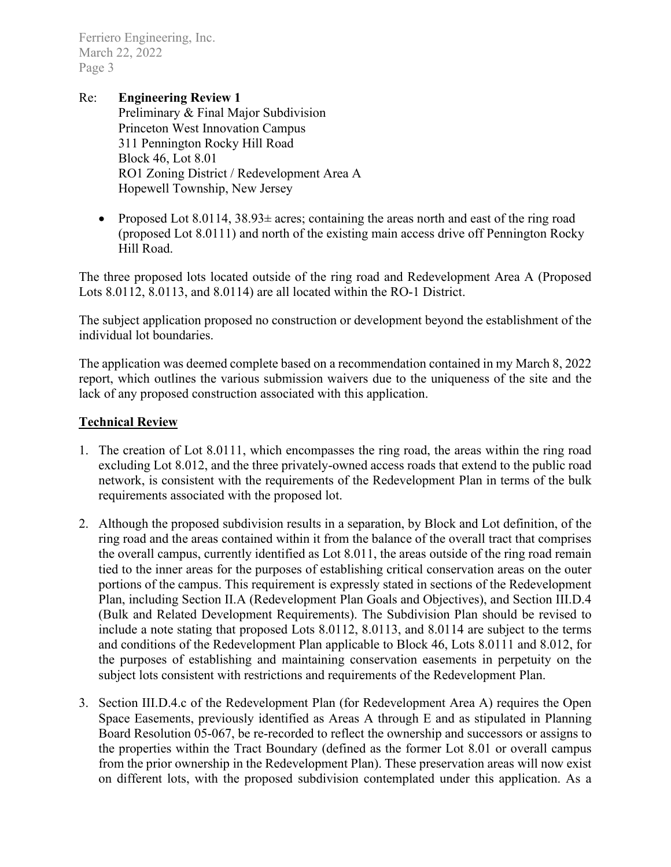Ferriero Engineering, Inc. March 22, 2022 Page 3

Re: **Engineering Review 1** Preliminary & Final Major Subdivision Princeton West Innovation Campus 311 Pennington Rocky Hill Road Block 46, Lot 8.01 RO1 Zoning District / Redevelopment Area A Hopewell Township, New Jersey

• Proposed Lot 8.0114,  $38.93\pm$  acres; containing the areas north and east of the ring road (proposed Lot 8.0111) and north of the existing main access drive off Pennington Rocky Hill Road.

The three proposed lots located outside of the ring road and Redevelopment Area A (Proposed Lots 8.0112, 8.0113, and 8.0114) are all located within the RO-1 District.

The subject application proposed no construction or development beyond the establishment of the individual lot boundaries.

The application was deemed complete based on a recommendation contained in my March 8, 2022 report, which outlines the various submission waivers due to the uniqueness of the site and the lack of any proposed construction associated with this application.

#### **Technical Review**

- 1. The creation of Lot 8.0111, which encompasses the ring road, the areas within the ring road excluding Lot 8.012, and the three privately-owned access roads that extend to the public road network, is consistent with the requirements of the Redevelopment Plan in terms of the bulk requirements associated with the proposed lot.
- 2. Although the proposed subdivision results in a separation, by Block and Lot definition, of the ring road and the areas contained within it from the balance of the overall tract that comprises the overall campus, currently identified as Lot 8.011, the areas outside of the ring road remain tied to the inner areas for the purposes of establishing critical conservation areas on the outer portions of the campus. This requirement is expressly stated in sections of the Redevelopment Plan, including Section II.A (Redevelopment Plan Goals and Objectives), and Section III.D.4 (Bulk and Related Development Requirements). The Subdivision Plan should be revised to include a note stating that proposed Lots 8.0112, 8.0113, and 8.0114 are subject to the terms and conditions of the Redevelopment Plan applicable to Block 46, Lots 8.0111 and 8.012, for the purposes of establishing and maintaining conservation easements in perpetuity on the subject lots consistent with restrictions and requirements of the Redevelopment Plan.
- 3. Section III.D.4.c of the Redevelopment Plan (for Redevelopment Area A) requires the Open Space Easements, previously identified as Areas A through E and as stipulated in Planning Board Resolution 05-067, be re-recorded to reflect the ownership and successors or assigns to the properties within the Tract Boundary (defined as the former Lot 8.01 or overall campus from the prior ownership in the Redevelopment Plan). These preservation areas will now exist on different lots, with the proposed subdivision contemplated under this application. As a